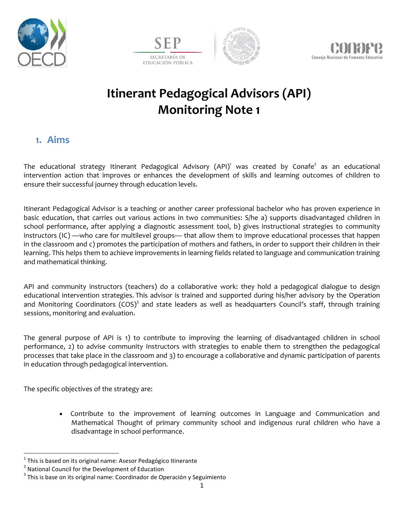







# **Itinerant Pedagogical Advisors (API) Monitoring Note 1**

#### **1. Aims**

The educational strategy Itinerant Pedagogical Advisory (API)<sup>1</sup> was created by Conafe<sup>2</sup> as an educational intervention action that improves or enhances the development of skills and learning outcomes of children to ensure their successful journey through education levels.

Itinerant Pedagogical Advisor is a teaching or another career professional bachelor who has proven experience in basic education, that carries out various actions in two communities: S/he a) supports disadvantaged children in school performance, after applying a diagnostic assessment tool, b) gives instructional strategies to community instructors (IC) —who care for multilevel groups— that allow them to improve educational processes that happen in the classroom and c) promotes the participation of mothers and fathers, in order to support their children in their learning. This helps them to achieve improvements in learning fields related to language and communication training and mathematical thinking.

API and community instructors (teachers) do a collaborative work: they hold a pedagogical dialogue to design educational intervention strategies. This advisor is trained and supported during his/her advisory by the Operation and Monitoring Coordinators (COS)<sup>3</sup> and state leaders as well as headquarters Council's staff, through training sessions, monitoring and evaluation.

The general purpose of API is 1) to contribute to improving the learning of disadvantaged children in school performance, 2) to advise community Instructors with strategies to enable them to strengthen the pedagogical processes that take place in the classroom and 3) to encourage a collaborative and dynamic participation of parents in education through pedagogical intervention.

The specific objectives of the strategy are:

 Contribute to the improvement of learning outcomes in Language and Communication and Mathematical Thought of primary community school and indigenous rural children who have a disadvantage in school performance.

 $\overline{\phantom{a}}$ 

 $^{1}$  This is based on its original name: Asesor Pedagógico Itinerante

<sup>&</sup>lt;sup>2</sup> National Council for the Development of Education

 $^3$  This is base on its original name: Coordinador de Operación y Seguimiento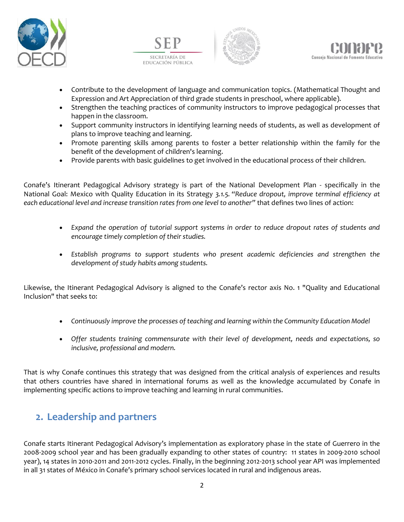







- Contribute to the development of language and communication topics. (Mathematical Thought and Expression and Art Appreciation of third grade students in preschool, where applicable).
- Strengthen the teaching practices of community instructors to improve pedagogical processes that happen in the classroom.
- Support community instructors in identifying learning needs of students, as well as development of plans to improve teaching and learning.
- Promote parenting skills among parents to foster a better relationship within the family for the benefit of the development of children's learning.
- Provide parents with basic guidelines to get involved in the educational process of their children.

Conafe's Itinerant Pedagogical Advisory strategy is part of the National Development Plan - specifically in the National Goal: Mexico with Quality Education in its Strategy *3.1.5. "Reduce dropout, improve terminal efficiency at each educational level and increase transition rates from one level to another"* that defines two lines of action:

- *Expand the operation of tutorial support systems in order to reduce dropout rates of students and encourage timely completion of their studies.*
- *Establish programs to support students who present academic deficiencies and strengthen the development of study habits among students.*

Likewise, the Itinerant Pedagogical Advisory is aligned to the Conafe's rector axis No. 1 "Quality and Educational Inclusion" that seeks to:

- *Continuously improve the processes of teaching and learning within the Community Education Model*
- *Offer students training commensurate with their level of development, needs and expectations, so inclusive, professional and modern.*

That is why Conafe continues this strategy that was designed from the critical analysis of experiences and results that others countries have shared in international forums as well as the knowledge accumulated by Conafe in implementing specific actions to improve teaching and learning in rural communities.

# **2. Leadership and partners**

Conafe starts Itinerant Pedagogical Advisory's implementation as exploratory phase in the state of Guerrero in the 2008-2009 school year and has been gradually expanding to other states of country: 11 states in 2009-2010 school year), 14 states in 2010-2011 and 2011-2012 cycles. Finally, in the beginning 2012-2013 school year API was implemented in all 31 states of México in Conafe's primary school services located in rural and indigenous areas.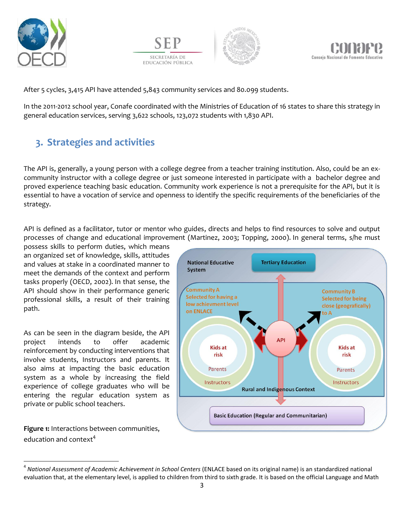







After 5 cycles, 3,415 API have attended 5,843 community services and 80.099 students.

In the 2011-2012 school year, Conafe coordinated with the Ministries of Education of 16 states to share this strategy in general education services, serving 3,622 schools, 123,072 students with 1,830 API.

# **3. Strategies and activities**

The API is, generally, a young person with a college degree from a teacher training institution. Also, could be an excommunity instructor with a college degree or just someone interested in participate with a bachelor degree and proved experience teaching basic education. Community work experience is not a prerequisite for the API, but it is essential to have a vocation of service and openness to identify the specific requirements of the beneficiaries of the strategy.

API is defined as a facilitator, tutor or mentor who guides, directs and helps to find resources to solve and output processes of change and educational improvement (Martinez, 2003; Topping, 2000). In general terms, s/he must

possess skills to perform duties, which means an organized set of knowledge, skills, attitudes and values at stake in a coordinated manner to meet the demands of the context and perform tasks properly (OECD, 2002). In that sense, the API should show in their performance generic professional skills, a result of their training path.

As can be seen in the diagram beside, the API project intends to offer academic reinforcement by conducting interventions that involve students, Instructors and parents. It also aims at impacting the basic education system as a whole by increasing the field experience of college graduates who will be entering the regular education system as private or public school teachers.

**Figure 1:** Interactions between communities, education and context<sup>4</sup>

 $\overline{a}$ 



<sup>4</sup> *National Assessment of Academic Achievement in School Centers* (ENLACE based on its original name) is an standardized national evaluation that, at the elementary level, is applied to children from third to sixth grade. It is based on the official Language and Math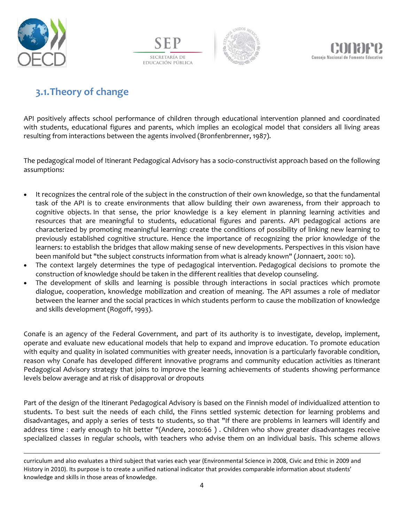

 $\overline{\phantom{a}}$ 

SECRETARÍA DE EDUCACIÓN PÚBLICA





# **3.1.Theory of change**

API positively affects school performance of children through educational intervention planned and coordinated with students, educational figures and parents, which implies an ecological model that considers all living areas resulting from interactions between the agents involved (Bronfenbrenner, 1987).

The pedagogical model of Itinerant Pedagogical Advisory has a socio-constructivist approach based on the following assumptions:

- It recognizes the central role of the subject in the construction of their own knowledge, so that the fundamental task of the API is to create environments that allow building their own awareness, from their approach to cognitive objects. In that sense, the prior knowledge is a key element in planning learning activities and resources that are meaningful to students, educational figures and parents. API pedagogical actions are characterized by promoting meaningful learning: create the conditions of possibility of linking new learning to previously established cognitive structure. Hence the importance of recognizing the prior knowledge of the learners: to establish the bridges that allow making sense of new developments. Perspectives in this vision have been manifold but "the subject constructs information from what is already known" (Jonnaert, 2001: 10).
- The context largely determines the type of pedagogical intervention. Pedagogical decisions to promote the construction of knowledge should be taken in the different realities that develop counseling.
- The development of skills and learning is possible through interactions in social practices which promote dialogue, cooperation, knowledge mobilization and creation of meaning. The API assumes a role of mediator between the learner and the social practices in which students perform to cause the mobilization of knowledge and skills development (Rogoff, 1993).

Conafe is an agency of the Federal Government, and part of its authority is to investigate, develop, implement, operate and evaluate new educational models that help to expand and improve education. To promote education with equity and quality in isolated communities with greater needs, innovation is a particularly favorable condition, reason why Conafe has developed different innovative programs and community education activities as Itinerant Pedagogical Advisory strategy that joins to improve the learning achievements of students showing performance levels below average and at risk of disapproval or dropouts

Part of the design of the Itinerant Pedagogical Advisory is based on the Finnish model of individualized attention to students. To best suit the needs of each child, the Finns settled systemic detection for learning problems and disadvantages, and apply a series of tests to students, so that "If there are problems in learners will identify and address time : early enough to hit better "(Andere, 2010:66 ) . Children who show greater disadvantages receive specialized classes in regular schools, with teachers who advise them on an individual basis. This scheme allows

curriculum and also evaluates a third subject that varies each year (Environmental Science in 2008, Civic and Ethic in 2009 and History in 2010). Its purpose is to create a unified national indicator that provides comparable information about students' knowledge and skills in those areas of knowledge.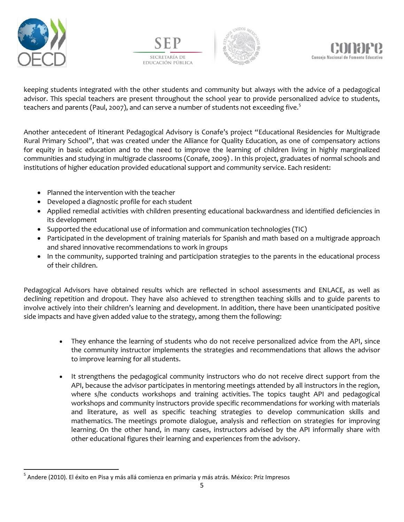







keeping students integrated with the other students and community but always with the advice of a pedagogical advisor. This special teachers are present throughout the school year to provide personalized advice to students, teachers and parents (Paul, 2007), and can serve a number of students not exceeding five.<sup>5</sup>

Another antecedent of Itinerant Pedagogical Advisory is Conafe's project "Educational Residencies for Multigrade Rural Primary School", that was created under the Alliance for Quality Education, as one of compensatory actions for equity in basic education and to the need to improve the learning of children living in highly marginalized communities and studying in multigrade classrooms (Conafe, 2009) . In this project, graduates of normal schools and institutions of higher education provided educational support and community service. Each resident:

- Planned the intervention with the teacher
- Developed a diagnostic profile for each student
- Applied remedial activities with children presenting educational backwardness and identified deficiencies in its development
- Supported the educational use of information and communication technologies (TIC)
- Participated in the development of training materials for Spanish and math based on a multigrade approach and shared innovative recommendations to work in groups
- In the community, supported training and participation strategies to the parents in the educational process of their children.

Pedagogical Advisors have obtained results which are reflected in school assessments and ENLACE, as well as declining repetition and dropout. They have also achieved to strengthen teaching skills and to guide parents to involve actively into their children's learning and development. In addition, there have been unanticipated positive side impacts and have given added value to the strategy, among them the following:

- They enhance the learning of students who do not receive personalized advice from the API, since the community instructor implements the strategies and recommendations that allows the advisor to improve learning for all students.
- It strengthens the pedagogical community instructors who do not receive direct support from the API, because the advisor participates in mentoring meetings attended by all instructors in the region, where s/he conducts workshops and training activities. The topics taught API and pedagogical workshops and community instructors provide specific recommendations for working with materials and literature, as well as specific teaching strategies to develop communication skills and mathematics. The meetings promote dialogue, analysis and reflection on strategies for improving learning. On the other hand, in many cases, instructors advised by the API informally share with other educational figures their learning and experiences from the advisory.

 $\overline{\phantom{a}}$ <sup>5</sup> Andere (2010). El éxito en Pisa y más allá comienza en primaria y más atrás. México: Priz Impresos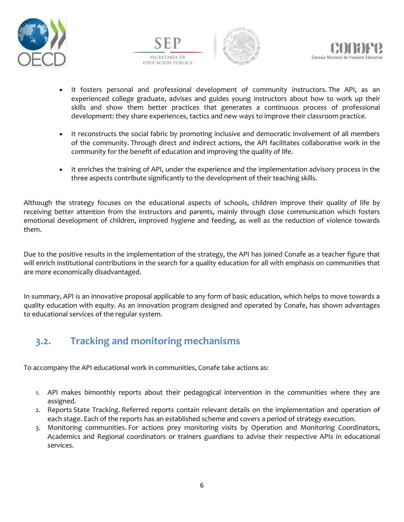







- It fosters personal and professional development of community instructors. The API, as an experienced college graduate, advises and guides young instructors about how to work up their skills and show them better practices that generates a continuous process of professional development: they share experiences, tactics and new ways to improve their classroom practice.
- It reconstructs the social fabric by promoting inclusive and democratic involvement of all members of the community. Through direct and indirect actions, the API facilitates collaborative work in the community for the benefit of education and improving the quality of life.
- It enriches the training of API, under the experience and the implementation advisory process in the three aspects contribute significantly to the development of their teaching skills.

Although the strategy focuses on the educational aspects of schools, children improve their quality of life by receiving better attention from the instructors and parents, mainly through close communication which fosters emotional development of children, improved hygiene and feeding, as well as the reduction of violence towards them.

Due to the positive results in the implementation of the strategy, the API has joined Conafe as a teacher figure that will enrich institutional contributions in the search for a quality education for all with emphasis on communities that are more economically disadvantaged.

In summary, API is an innovative proposal applicable to any form of basic education, which helps to move towards a quality education with equity. As an innovation program designed and operated by Conafe, has shown advantages to educational services of the regular system.

# **3.2. Tracking and monitoring mechanisms**

To accompany the API educational work in communities, Conafe take actions as:

- 1. API makes bimonthly reports about their pedagogical intervention in the communities where they are assigned.
- 2. Reports State Tracking. Referred reports contain relevant details on the implementation and operation of each stage. Each of the reports has an established scheme and covers a period of strategy execution.
- 3. Monitoring communities. For actions prey monitoring visits by Operation and Monitoring Coordinators, Academics and Regional coordinators or trainers guardians to advise their respective APIs in educational services.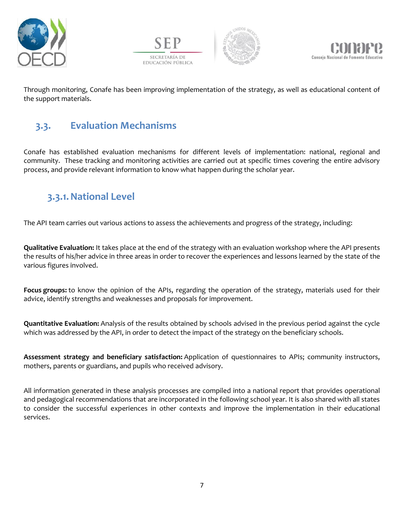







Through monitoring, Conafe has been improving implementation of the strategy, as well as educational content of the support materials.

### **3.3. Evaluation Mechanisms**

Conafe has established evaluation mechanisms for different levels of implementation: national, regional and community. These tracking and monitoring activities are carried out at specific times covering the entire advisory process, and provide relevant information to know what happen during the scholar year.

# **3.3.1.National Level**

The API team carries out various actions to assess the achievements and progress of the strategy, including:

**Qualitative Evaluation:** It takes place at the end of the strategy with an evaluation workshop where the API presents the results of his/her advice in three areas in order to recover the experiences and lessons learned by the state of the various figures involved.

**Focus groups:** to know the opinion of the APIs, regarding the operation of the strategy, materials used for their advice, identify strengths and weaknesses and proposals for improvement.

**Quantitative Evaluation:** Analysis of the results obtained by schools advised in the previous period against the cycle which was addressed by the API, in order to detect the impact of the strategy on the beneficiary schools.

**Assessment strategy and beneficiary satisfaction:** Application of questionnaires to APIs; community instructors, mothers, parents or guardians, and pupils who received advisory.

All information generated in these analysis processes are compiled into a national report that provides operational and pedagogical recommendations that are incorporated in the following school year. It is also shared with all states to consider the successful experiences in other contexts and improve the implementation in their educational services.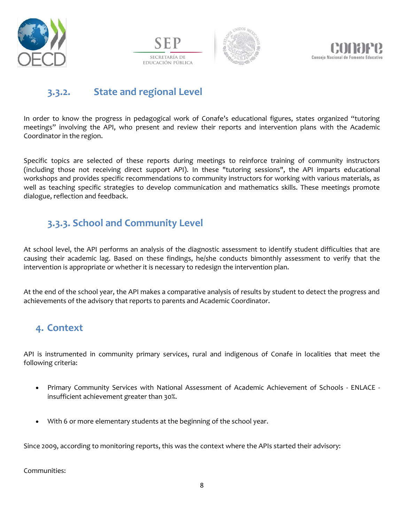







#### **3.3.2. State and regional Level**

In order to know the progress in pedagogical work of Conafe's educational figures, states organized "tutoring meetings" involving the API, who present and review their reports and intervention plans with the Academic Coordinator in the region.

Specific topics are selected of these reports during meetings to reinforce training of community instructors (including those not receiving direct support API). In these "tutoring sessions", the API imparts educational workshops and provides specific recommendations to community instructors for working with various materials, as well as teaching specific strategies to develop communication and mathematics skills. These meetings promote dialogue, reflection and feedback.

### **3.3.3. School and Community Level**

At school level, the API performs an analysis of the diagnostic assessment to identify student difficulties that are causing their academic lag. Based on these findings, he/she conducts bimonthly assessment to verify that the intervention is appropriate or whether it is necessary to redesign the intervention plan.

At the end of the school year, the API makes a comparative analysis of results by student to detect the progress and achievements of the advisory that reports to parents and Academic Coordinator.

# **4. Context**

API is instrumented in community primary services, rural and indigenous of Conafe in localities that meet the following criteria:

- Primary Community Services with National Assessment of Academic Achievement of Schools ENLACE insufficient achievement greater than 30%.
- With 6 or more elementary students at the beginning of the school year.

Since 2009, according to monitoring reports, this was the context where the APIs started their advisory:

Communities: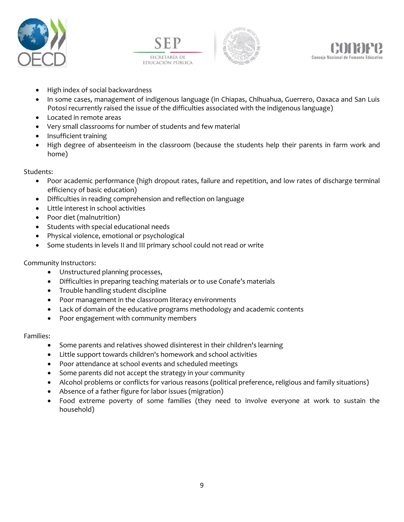







- High index of social backwardness
- In some cases, management of indigenous language (in Chiapas, Chihuahua, Guerrero, Oaxaca and San Luis Potosí recurrently raised the issue of the difficulties associated with the indigenous language)
- Located in remote areas
- Very small classrooms for number of students and few material
- Insufficient training
- High degree of absenteeism in the classroom (because the students help their parents in farm work and home)

#### Students:

- Poor academic performance (high dropout rates, failure and repetition, and low rates of discharge terminal efficiency of basic education)
- Difficulties in reading comprehension and reflection on language
- Little interest in school activities
- Poor diet (malnutrition)
- Students with special educational needs
- Physical violence, emotional or psychological
- Some students in levels II and III primary school could not read or write

Community Instructors:

- Unstructured planning processes,
- Difficulties in preparing teaching materials or to use Conafe's materials
- Trouble handling student discipline
- Poor management in the classroom literacy environments
- Lack of domain of the educative programs methodology and academic contents
- Poor engagement with community members

#### Families:

- Some parents and relatives showed disinterest in their children's learning
- Little support towards children's homework and school activities
- Poor attendance at school events and scheduled meetings
- Some parents did not accept the strategy in your community
- Alcohol problems or conflicts for various reasons (political preference, religious and family situations)
- Absence of a father figure for labor issues (migration)
- Food extreme poverty of some families (they need to involve everyone at work to sustain the household)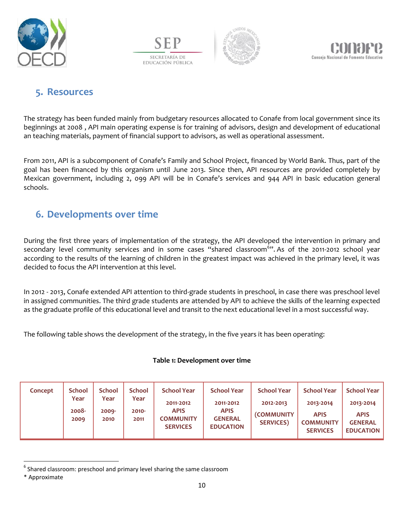







#### **5. Resources**

The strategy has been funded mainly from budgetary resources allocated to Conafe from local government since its beginnings at 2008 , API main operating expense is for training of advisors, design and development of educational an teaching materials, payment of financial support to advisors, as well as operational assessment.

From 2011, API is a subcomponent of Conafe's Family and School Project, financed by World Bank. Thus, part of the goal has been financed by this organism until June 2013. Since then, API resources are provided completely by Mexican government, including 2, 099 API will be in Conafe's services and 944 API in basic education general schools.

#### **6. Developments over time**

During the first three years of implementation of the strategy, the API developed the intervention in primary and secondary level community services and in some cases "shared classroom<sup>6</sup>". As of the 2011-2012 school year according to the results of the learning of children in the greatest impact was achieved in the primary level, it was decided to focus the API intervention at this level.

In 2012 - 2013, Conafe extended API attention to third-grade students in preschool, in case there was preschool level in assigned communities. The third grade students are attended by API to achieve the skills of the learning expected as the graduate profile of this educational level and transit to the next educational level in a most successful way.

The following table shows the development of the strategy, in the five years it has been operating:

#### **Table 1: Development over time**

| Concept | <b>School</b>         | <b>School</b>         | <b>School</b>         | <b>School Year</b>                                              | <b>School Year</b>                                             | <b>School Year</b>                                        | <b>School Year</b>                                              | School Year 1                                                  |
|---------|-----------------------|-----------------------|-----------------------|-----------------------------------------------------------------|----------------------------------------------------------------|-----------------------------------------------------------|-----------------------------------------------------------------|----------------------------------------------------------------|
|         | Year<br>2008-<br>2009 | Year<br>2009-<br>2010 | Year<br>2010-<br>2011 | 2011-2012<br><b>APIS</b><br><b>COMMUNITY</b><br><b>SERVICES</b> | 2011-2012<br><b>APIS</b><br><b>GENERAL</b><br><b>EDUCATION</b> | 2012-2013<br><i><b>COMMUNITY</b></i><br><b>SERVICES</b> ) | 2013-2014<br><b>APIS</b><br><b>COMMUNITY</b><br><b>SERVICES</b> | 2013-2014<br><b>APIS</b><br><b>GENERAL</b><br><b>EDUCATION</b> |
|         |                       |                       |                       |                                                                 |                                                                |                                                           |                                                                 |                                                                |

 $^6$  Shared classroom: preschool and primary level sharing the same classroom

 $\overline{a}$ 

<sup>\*</sup> Approximate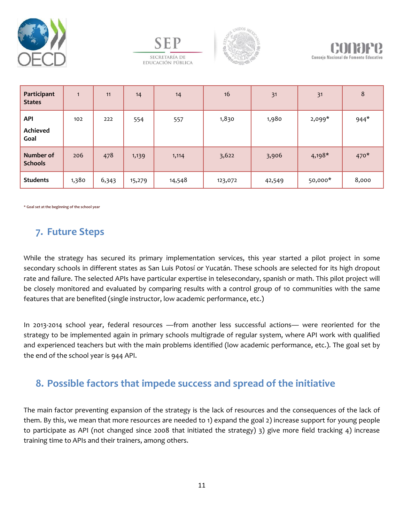





| Participant<br><b>States</b>   | 1     | 11    | 14     | 14     | 16      | 31     | 31       | 8      |
|--------------------------------|-------|-------|--------|--------|---------|--------|----------|--------|
| API<br><b>Achieved</b><br>Goal | 102   | 222   | 554    | 557    | 1,830   | 1,980  | $2,099*$ | $944*$ |
| Number of<br><b>Schools</b>    | 206   | 478   | 1,139  | 1,114  | 3,622   | 3,906  | $4,198*$ | $470*$ |
| <b>Students</b>                | 1,380 | 6,343 | 15,279 | 14,548 | 123,072 | 42,549 | 50,000*  | 8,000  |

**\* Goal set at the beginning of the school year**

#### **7. Future Steps**

While the strategy has secured its primary implementation services, this year started a pilot project in some secondary schools in different states as San Luis Potosí or Yucatán. These schools are selected for its high dropout rate and failure. The selected APIs have particular expertise in telesecondary, spanish or math. This pilot project will be closely monitored and evaluated by comparing results with a control group of 10 communities with the same features that are benefited (single instructor, low academic performance, etc.)

In 2013-2014 school year, federal resources —from another less successful actions— were reoriented for the strategy to be implemented again in primary schools multigrade of regular system, where API work with qualified and experienced teachers but with the main problems identified (low academic performance, etc.). The goal set by the end of the school year is 944 API.

#### **8. Possible factors that impede success and spread of the initiative**

The main factor preventing expansion of the strategy is the lack of resources and the consequences of the lack of them. By this, we mean that more resources are needed to 1) expand the goal 2) increase support for young people to participate as API (not changed since 2008 that initiated the strategy) 3) give more field tracking 4) increase training time to APIs and their trainers, among others.